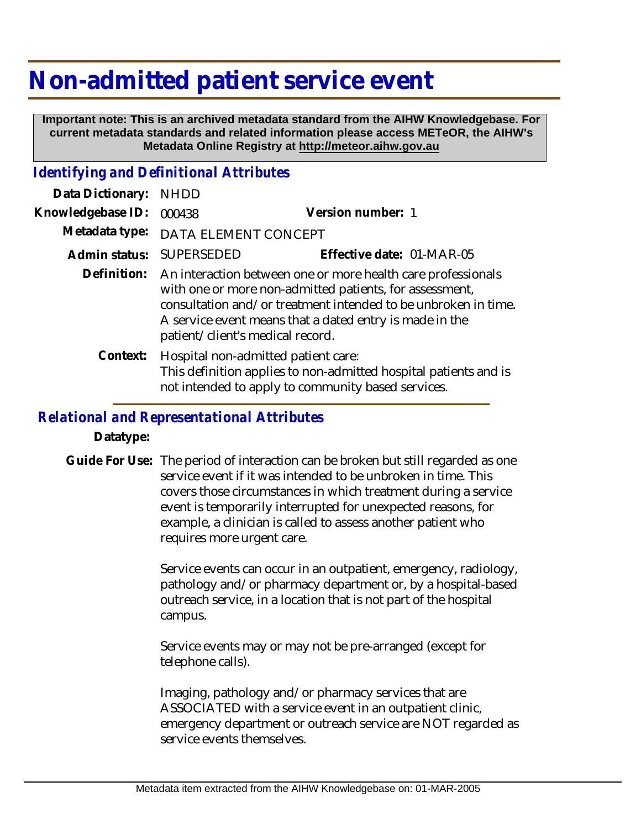# **Non-admitted patient service event**

 **Important note: This is an archived metadata standard from the AIHW Knowledgebase. For current metadata standards and related information please access METeOR, the AIHW's Metadata Online Registry at http://meteor.aihw.gov.au**

### *Identifying and Definitional Attributes*

| Data Dictionary:  | <b>NHDD</b>                                                                                                                                                                                                                                                                                          |                           |
|-------------------|------------------------------------------------------------------------------------------------------------------------------------------------------------------------------------------------------------------------------------------------------------------------------------------------------|---------------------------|
| Knowledgebase ID: | 000438                                                                                                                                                                                                                                                                                               | Version number: 1         |
| Metadata type:    | DATA ELEMENT CONCEPT                                                                                                                                                                                                                                                                                 |                           |
| Admin status:     | <b>SUPERSEDED</b>                                                                                                                                                                                                                                                                                    | Effective date: 01-MAR-05 |
|                   | Definition: An interaction between one or more health care professionals<br>with one or more non-admitted patients, for assessment,<br>consultation and/or treatment intended to be unbroken in time.<br>A service event means that a dated entry is made in the<br>patient/client's medical record. |                           |
| Context:          | Hospital non-admitted patient care:<br>This definition applies to non-admitted hospital patients and is<br>not intended to apply to community based services.                                                                                                                                        |                           |

#### *Relational and Representational Attributes*

**Datatype:**

Guide For Use: The period of interaction can be broken but still regarded as one service event if it was intended to be unbroken in time. This covers those circumstances in which treatment during a service event is temporarily interrupted for unexpected reasons, for example, a clinician is called to assess another patient who requires more urgent care.

> Service events can occur in an outpatient, emergency, radiology, pathology and/or pharmacy department or, by a hospital-based outreach service, in a location that is not part of the hospital campus.

Service events may or may not be pre-arranged (except for telephone calls).

Imaging, pathology and/or pharmacy services that are ASSOCIATED with a service event in an outpatient clinic, emergency department or outreach service are NOT regarded as service events themselves.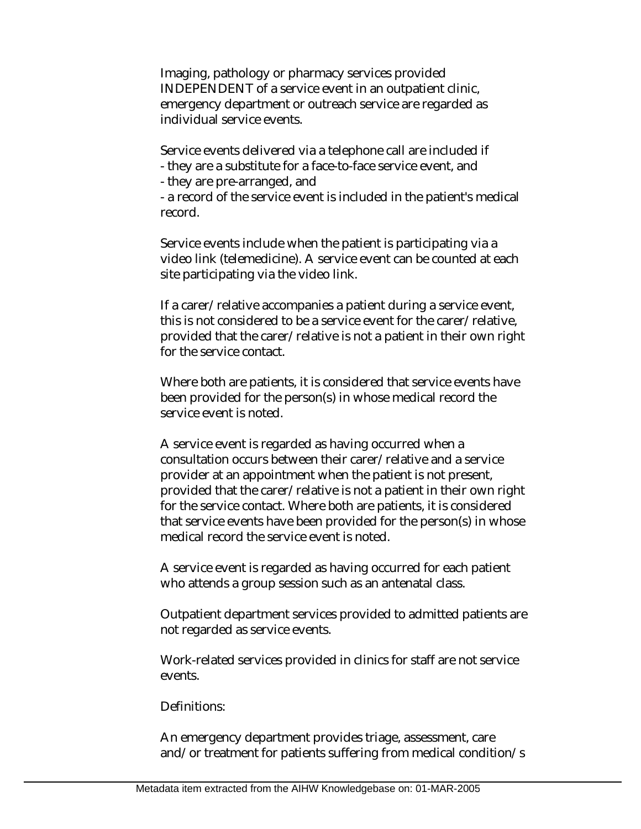Imaging, pathology or pharmacy services provided INDEPENDENT of a service event in an outpatient clinic, emergency department or outreach service are regarded as individual service events.

Service events delivered via a telephone call are included if

- they are a substitute for a face-to-face service event, and
- they are pre-arranged, and

- a record of the service event is included in the patient's medical record.

Service events include when the patient is participating via a video link (telemedicine). A service event can be counted at each site participating via the video link.

If a carer/relative accompanies a patient during a service event, this is not considered to be a service event for the carer/relative, provided that the carer/relative is not a patient in their own right for the service contact.

Where both are patients, it is considered that service events have been provided for the person(s) in whose medical record the service event is noted.

A service event is regarded as having occurred when a consultation occurs between their carer/relative and a service provider at an appointment when the patient is not present, provided that the carer/relative is not a patient in their own right for the service contact. Where both are patients, it is considered that service events have been provided for the person(s) in whose medical record the service event is noted.

A service event is regarded as having occurred for each patient who attends a group session such as an antenatal class.

Outpatient department services provided to admitted patients are not regarded as service events.

Work-related services provided in clinics for staff are not service events.

#### Definitions:

An emergency department provides triage, assessment, care and/or treatment for patients suffering from medical condition/s